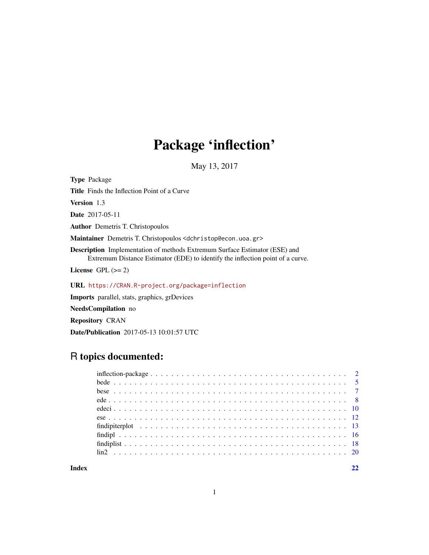## Package 'inflection'

May 13, 2017

Type Package Title Finds the Inflection Point of a Curve Version 1.3 Date 2017-05-11 Author Demetris T. Christopoulos Maintainer Demetris T. Christopoulos <dchristop@econ.uoa.gr> Description Implementation of methods Extremum Surface Estimator (ESE) and Extremum Distance Estimator (EDE) to identify the inflection point of a curve. License GPL  $(>= 2)$ URL <https://CRAN.R-project.org/package=inflection> Imports parallel, stats, graphics, grDevices

NeedsCompilation no

Repository CRAN

Date/Publication 2017-05-13 10:01:57 UTC

## R topics documented: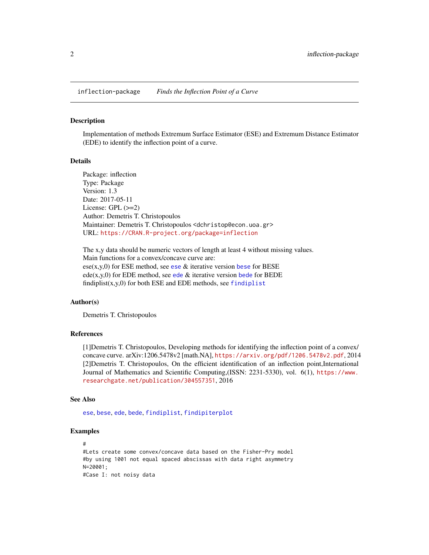<span id="page-1-0"></span>inflection-package *Finds the Inflection Point of a Curve*

#### Description

Implementation of methods Extremum Surface Estimator (ESE) and Extremum Distance Estimator (EDE) to identify the inflection point of a curve.

## Details

Package: inflection Type: Package Version: 1.3 Date: 2017-05-11 License: GPL (>=2) Author: Demetris T. Christopoulos Maintainer: Demetris T. Christopoulos <dchristop@econ.uoa.gr> URL: <https://CRAN.R-project.org/package=inflection>

The x,y data should be numeric vectors of length at least 4 without missing values. Main functions for a convex/concave curve are:  $e$ se(x,y,0) for ESE method, see [ese](#page-11-1)  $\&$  iterative version [bese](#page-6-1) for BESE [ede](#page-7-1)(x,y,0) for EDE method, see ede  $\&$  iterative version [bede](#page-4-1) for BEDE [findiplist](#page-17-1) $(x,y,0)$  for both ESE and EDE methods, see findiplist

#### Author(s)

Demetris T. Christopoulos

## References

[1]Demetris T. Christopoulos, Developing methods for identifying the inflection point of a convex/ concave curve. arXiv:1206.5478v2 [math.NA], <https://arxiv.org/pdf/1206.5478v2.pdf>, 2014 [2]Demetris T. Christopoulos, On the efficient identification of an inflection point,International Journal of Mathematics and Scientific Computing,(ISSN: 2231-5330), vol. 6(1), [https://www.](https://www.researchgate.net/publication/304557351) [researchgate.net/publication/304557351](https://www.researchgate.net/publication/304557351), 2016

#### See Also

[ese](#page-11-1), [bese](#page-6-1), [ede](#page-7-1), [bede](#page-4-1), [findiplist](#page-17-1), [findipiterplot](#page-12-1)

```
#
#Lets create some convex/concave data based on the Fisher-Pry model
#by using 1001 not equal spaced abscissas with data right asymmetry
N=20001;
#Case I: not noisy data
```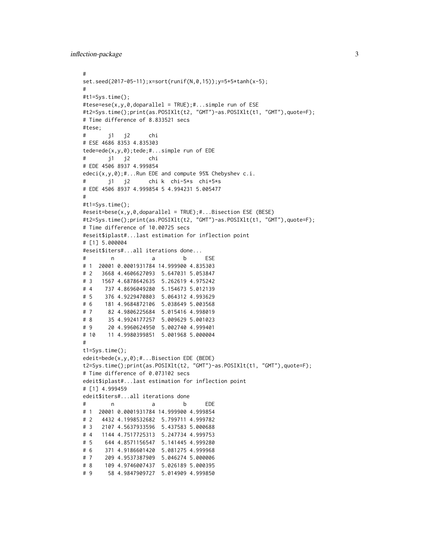```
inflection-package 3
```

```
#
set.seed(2017-05-11);x=sort(runif(N,0,15));y=5+5*tanh(x-5);
#
#t1=Sys.time();
#tese=ese(x,y,0,doparallel = TRUE);#...simple run of ESE
#t2=Sys.time();print(as.POSIXlt(t2, "GMT")-as.POSIXlt(t1, "GMT"),quote=F);
# Time difference of 8.833521 secs
#tese;
# j1 j2 chi
# ESE 4686 8353 4.835303
tede=ede(x,y,0);tede;#...simple run of EDE
# j1 j2 chi
# EDE 4506 8937 4.999854
edeci(x,y,0);#...Run EDE and compute 95% Chebyshev c.i.
# j1 j2 chi k chi-5*s chi+5*s
# EDE 4506 8937 4.999854 5 4.994231 5.005477
#
#t1=Sys.time();
#eseit=bese(x,y,0,doparallel = TRUE);#...Bisection ESE (BESE)
#t2=Sys.time();print(as.POSIXlt(t2, "GMT")-as.POSIXlt(t1, "GMT"),quote=F);
# Time difference of 10.00725 secs
#eseit$iplast#...last estimation for inflection point
# [1] 5.000004
#eseit$iters#...all iterations done...
# n a b ESE
# 1 20001 0.0001931784 14.999900 4.835303
# 2 3668 4.4606627093 5.647031 5.053847
# 3 1567 4.6878642635 5.262619 4.975242
# 4 737 4.8696049280 5.154673 5.012139
# 5 376 4.9229470803 5.064312 4.993629
# 6 181 4.9684872106 5.038649 5.003568
# 7 82 4.9806225684 5.015416 4.998019
# 8 35 4.9924177257 5.009629 5.001023
# 9 20 4.9960624950 5.002740 4.999401
# 10 11 4.9980399851 5.001968 5.000004
#
t1=Sys.time();
edeit=bede(x,y,0);#...Bisection EDE (BEDE)
t2=Sys.time();print(as.POSIXlt(t2, "GMT")-as.POSIXlt(t1, "GMT"),quote=F);
# Time difference of 0.073102 secs
edeit$iplast#...last estimation for inflection point
# [1] 4.999459
edeit$iters#...all iterations done
# n a b EDE
# 1 20001 0.0001931784 14.999900 4.999854
# 2 4432 4.1998532682 5.799711 4.999782
# 3 2107 4.5637933596 5.437583 5.000688
# 4 1144 4.7517725313 5.247734 4.999753
# 5 644 4.8571156547 5.141445 4.999280
# 6 371 4.9186601420 5.081275 4.999968
# 7 209 4.9537387909 5.046274 5.000006
# 8 109 4.9746007437 5.026189 5.000395
# 9 58 4.9847909727 5.014909 4.999850
```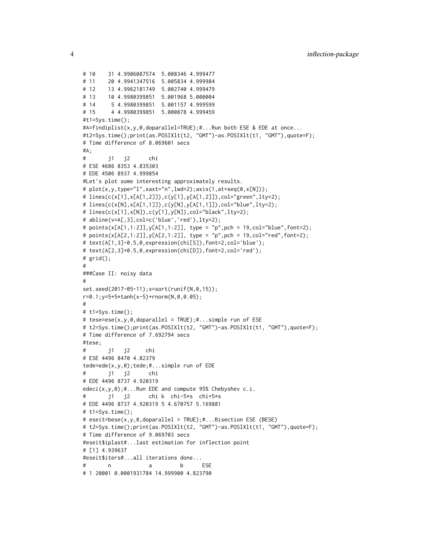```
# 10 31 4.9906087574 5.008346 4.999477
# 11 20 4.9941347516 5.005834 4.999984
# 12 13 4.9962181749 5.002740 4.999479
# 13 10 4.9980399851 5.001968 5.000004
# 14 5 4.9980399851 5.001157 4.999599
# 15 4 4.9980399851 5.000878 4.999459
#t1=Sys.time();
#A=findiplist(x,y,0,doparallel=TRUE);#...Run both ESE & EDE at once...
#t2=Sys.time();print(as.POSIXlt(t2, "GMT")-as.POSIXlt(t1, "GMT"),quote=F);
# Time difference of 8.069601 secs
#A;
# j1 j2 chi
# ESE 4686 8353 4.835303
# EDE 4506 8937 4.999854
#Let's plot some interesting approximately results.
# plot(x,y,type="l",xaxt="n",lwd=2);axis(1,at=seq(0,x[N]));
# lines(c(x[1],x[A[1,2]]),c(y[1],y[A[1,2]]),col="green",lty=2);
# lines(c(x[N],x[A[1,1]]),c(y[N],y[A[1,1]]),col="blue",lty=2);
# lines(c(x[1],x[N]),c(y[1],y[N]),col="black",lty=2);
# abline(v=A[,3],col=c('blue','red'),lty=2);
# points(x[A[1,1:2]],y[A[1,1:2]], type = "p",pch = 19,col="blue",font=2);
# points(x[A[2,1:2]], y[A[2,1:2]], type = "p", pch = 19, col="red", font=2);# text(A[1,3]-0.5,0,expression(chi[S]),font=2,col='blue');
# text(A[2,3]+0.5,0,expression(chi[D]),font=2,col='red');
# grid();
#
###Case II: noisy data
#
set.seed(2017-05-11);x=sort(runif(N,0,15));
r=0.1;y=5+5*tanh(x-5)+rnorm(N,0,0.05);
#
# t1=Sys.time();
# tese=ese(x,y,0,doparallel = TRUE);#...simple run of ESE
# t2=Sys.time();print(as.POSIXlt(t2, "GMT")-as.POSIXlt(t1, "GMT"),quote=F);
# Time difference of 7.692794 secs
#tese;
# j1 j2 chi
# ESE 4496 8470 4.82379
tede=ede(x,y,0);tede;#...simple run of EDE
# j1 j2 chi
# EDE 4496 8737 4.920319
edeci(x,y,0);#...Run EDE and compute 95% Chebyshev c.i.
# j1 j2 chi k chi-5*s chi+5*s
# EDE 4496 8737 4.920319 5 4.670757 5.169881
# t1=Sys.time();
# eseit=bese(x,y,0,doparallel = TRUE);#...Bisection ESE (BESE)
# t2=Sys.time();print(as.POSIXlt(t2, "GMT")-as.POSIXlt(t1, "GMT"),quote=F);
# Time difference of 9.069703 secs
#eseit$iplast#...last estimation for inflection point
# [1] 4.939637
#eseit$iters#...all iterations done...
# n a b ESE
# 1 20001 0.0001931784 14.999900 4.823790
```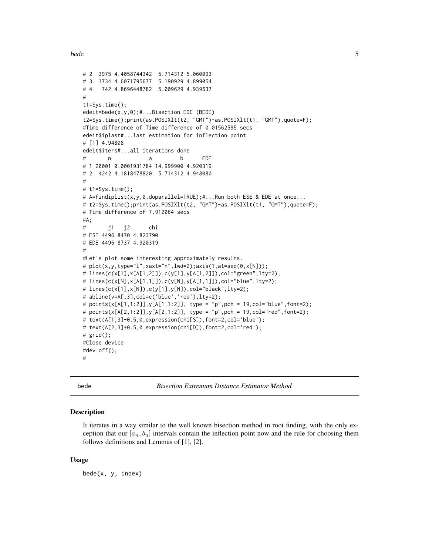```
# 2 3975 4.4058744342 5.714312 5.060093
# 3 1734 4.6071795677 5.190929 4.899054
# 4 742 4.8696448782 5.009629 4.939637
#
t1=Sys.time();
edeit=bede(x,y,0);#...Bisection EDE (BEDE)
t2=Sys.time();print(as.POSIXlt(t2, "GMT")-as.POSIXlt(t1, "GMT"),quote=F);
#Time difference of Time difference of 0.01562595 secs
edeit$iplast#...last estimation for inflection point
# [1] 4.94808
edeit$iters#...all iterations done
# n a b EDE
# 1 20001 0.0001931784 14.999900 4.920319
# 2 4242 4.1818478820 5.714312 4.948080
#
# t1=Sys.time();
# A=findiplist(x,y,0,doparallel=TRUE);#...Run both ESE & EDE at once...
# t2=Sys.time();print(as.POSIXlt(t2, "GMT")-as.POSIXlt(t1, "GMT"),quote=F);
# Time difference of 7.912064 secs
#A;
# j1 j2 chi
# ESE 4496 8470 4.823790
# EDE 4496 8737 4.920319
#
#Let's plot some interesting approximately results.
# plot(x,y,type="l",xaxt="n",lwd=2);axis(1,at=seq(0,x[N]));
# lines(c(x[1],x[A[1,2]]),c(y[1],y[A[1,2]]),col="green",lty=2);
# lines(c(x[N],x[A[1,1]]),c(y[N],y[A[1,1]]),col="blue",lty=2);
# lines(c(x[1],x[N]),c(y[1],y[N]),col="black",lty=2);
# abline(v=A[,3],col=c('blue','red'),lty=2);
# points(x[A[1,1:2]],y[A[1,1:2]], type = "p",pch = 19,col="blue",font=2);
# points(x[A[2,1:2]],y[A[2,1:2]], type = "p",pch = 19,col="red",font=2);
# text(A[1,3]-0.5,0,expression(chi[S]),font=2,col='blue');
# text(A[2,3]+0.5,0,expression(chi[D]),font=2,col='red');
# grid();
#Close device
#dev.off();
#
```
<span id="page-4-1"></span>bede *Bisection Extremum Distance Estimator Method*

#### Description

It iterates in a way similar to the well known bisection method in root finding, with the only exception that our  $[a_n, b_n]$  intervals contain the inflection point now and the rule for choosing them follows definitions and Lemmas of [1], [2].

#### Usage

bede(x, y, index)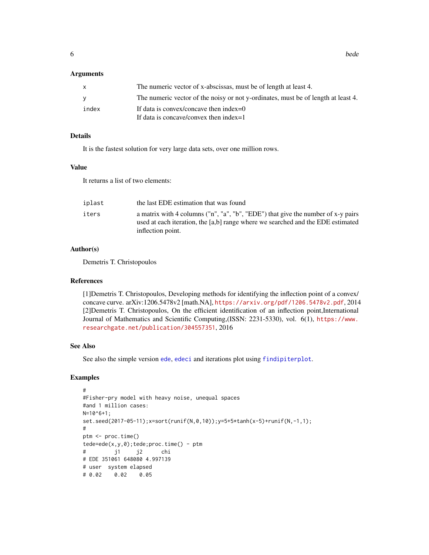#### <span id="page-5-0"></span>Arguments

| X.    | The numeric vector of x-abscissas, must be of length at least 4.                  |
|-------|-----------------------------------------------------------------------------------|
| V     | The numeric vector of the noisy or not y-ordinates, must be of length at least 4. |
| index | If data is convex/concave then index= $0$                                         |
|       | If data is concave/convex then index=1                                            |

## Details

It is the fastest solution for very large data sets, over one million rows.

## Value

It returns a list of two elements:

| iplast | the last EDE estimation that was found                                                                                                                                                   |
|--------|------------------------------------------------------------------------------------------------------------------------------------------------------------------------------------------|
| iters  | a matrix with 4 columns ("n", "a", "b", "EDE") that give the number of x-y pairs<br>used at each iteration, the [a,b] range where we searched and the EDE estimated<br>inflection point. |

#### Author(s)

Demetris T. Christopoulos

#### References

[1]Demetris T. Christopoulos, Developing methods for identifying the inflection point of a convex/ concave curve. arXiv:1206.5478v2 [math.NA], <https://arxiv.org/pdf/1206.5478v2.pdf>, 2014 [2]Demetris T. Christopoulos, On the efficient identification of an inflection point,International Journal of Mathematics and Scientific Computing,(ISSN: 2231-5330), vol. 6(1), [https://www.](https://www.researchgate.net/publication/304557351) [researchgate.net/publication/304557351](https://www.researchgate.net/publication/304557351), 2016

## See Also

See also the simple version [ede](#page-7-1), [edeci](#page-9-1) and iterations plot using [findipiterplot](#page-12-1).

```
#
#Fisher-pry model with heavy noise, unequal spaces
#and 1 million cases:
N=10^{6}+1;set.seed(2017-05-11);x=sort(runif(N,0,10));y=5+5*tanh(x-5)+runif(N,-1,1);
#
ptm <- proc.time()
tede=ede(x,y,0);tede;proc.time() - ptm
# j1 j2 chi
# EDE 351061 648080 4.997139
# user system elapsed
# 0.02 0.02 0.05
```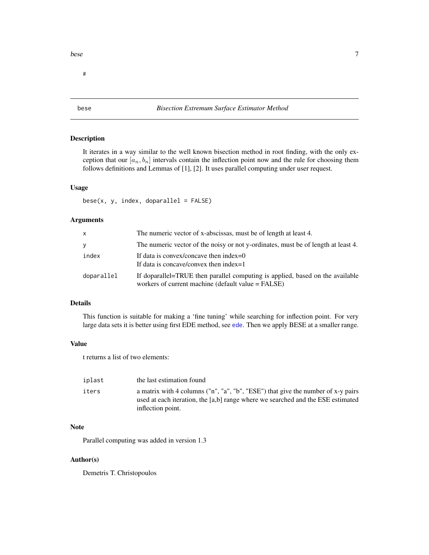<span id="page-6-0"></span>#

## <span id="page-6-1"></span>bese *Bisection Extremum Surface Estimator Method*

## Description

It iterates in a way similar to the well known bisection method in root finding, with the only exception that our  $[a_n, b_n]$  intervals contain the inflection point now and the rule for choosing them follows definitions and Lemmas of [1], [2]. It uses parallel computing under user request.

#### Usage

 $bese(x, y, index, doparallel = FALSE)$ 

## Arguments

| X          | The numeric vector of x-abscissas, must be of length at least 4.                                                                    |
|------------|-------------------------------------------------------------------------------------------------------------------------------------|
| y          | The numeric vector of the noisy or not y-ordinates, must be of length at least 4.                                                   |
| index      | If data is convex/concave then index= $0$<br>If data is concave/convex then index=1                                                 |
| doparallel | If doparallel=TRUE then parallel computing is applied, based on the available<br>workers of current machine (default value = FALSE) |

## Details

This function is suitable for making a 'fine tuning' while searching for inflection point. For very large data sets it is better using first EDE method, see [ede](#page-7-1). Then we apply BESE at a smaller range.

## Value

t returns a list of two elements:

| iplast | the last estimation found                                                                                                                                                                |
|--------|------------------------------------------------------------------------------------------------------------------------------------------------------------------------------------------|
| iters  | a matrix with 4 columns ("n", "a", "b", "ESE") that give the number of x-y pairs<br>used at each iteration, the [a,b] range where we searched and the ESE estimated<br>inflection point. |

## Note

Parallel computing was added in version 1.3

## Author(s)

Demetris T. Christopoulos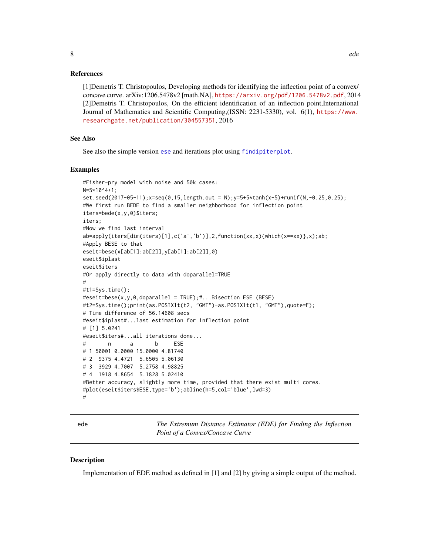## <span id="page-7-0"></span>References

[1]Demetris T. Christopoulos, Developing methods for identifying the inflection point of a convex/ concave curve. arXiv:1206.5478v2 [math.NA], <https://arxiv.org/pdf/1206.5478v2.pdf>, 2014 [2]Demetris T. Christopoulos, On the efficient identification of an inflection point,International Journal of Mathematics and Scientific Computing,(ISSN: 2231-5330), vol. 6(1), [https://www.](https://www.researchgate.net/publication/304557351) [researchgate.net/publication/304557351](https://www.researchgate.net/publication/304557351), 2016

## See Also

See also the simple version [ese](#page-11-1) and iterations plot using [findipiterplot](#page-12-1).

#### Examples

```
#Fisher-pry model with noise and 50k cases:
N=5*10^4+1;
set.seed(2017-05-11);x=seq(0, 15, length.out = N); y=5+5*tanh(x-5)+runit(N, -0.25, 0.25);#We first run BEDE to find a smaller neighborhood for inflection point
iters=bede(x,y,0)$iters;
iters;
#Now we find last interval
ab=apply(iters[dim(iters)[1],c('a','b')],2,function(xx,x){which(x==xx)},x);ab;
#Apply BESE to that
eseit=bese(x[ab[1]:ab[2]],y[ab[1]:ab[2]],0)
eseit$iplast
eseit$iters
#Or apply directly to data with doparallel=TRUE
#
#t1=Sys.time();
#eseit=bese(x,y,0,doparallel = TRUE);#...Bisection ESE (BESE)
#t2=Sys.time();print(as.POSIXlt(t2, "GMT")-as.POSIXlt(t1, "GMT"),quote=F);
# Time difference of 56.14608 secs
#eseit$iplast#...last estimation for inflection point
# [1] 5.0241
#eseit$iters#...all iterations done...
# n a b ESE
# 1 50001 0.0000 15.0000 4.81740
# 2 9375 4.4721 5.6505 5.06130
# 3 3929 4.7007 5.2758 4.98825
# 4 1918 4.8654 5.1828 5.02410
#Better accuracy, slightly more time, provided that there exist multi cores.
#plot(eseit$iters$ESE,type='b');abline(h=5,col='blue',lwd=3)
#
```
<span id="page-7-1"></span>ede *The Extremum Distance Estimator (EDE) for Finding the Inflection Point of a Convex/Concave Curve*

#### Description

Implementation of EDE method as defined in [1] and [2] by giving a simple output of the method.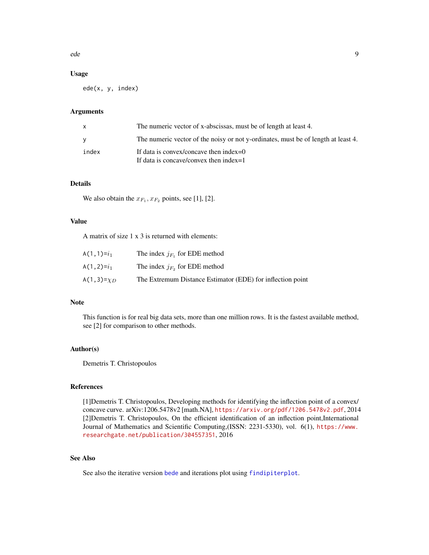<span id="page-8-0"></span>ede 1988 et 1988 et 1988 et 1988 et 1988 et 1988 et 1988 et 1988 et 1988 et 1989 et 1988 et 1989 et 1989 et 19

## Usage

ede(x, y, index)

## Arguments

| x     | The numeric vector of x-abscissas, must be of length at least 4.                    |
|-------|-------------------------------------------------------------------------------------|
| v     | The numeric vector of the noisy or not y-ordinates, must be of length at least 4.   |
| index | If data is convex/concave then index= $0$<br>If data is concave/convex then index=1 |

## Details

We also obtain the  $x_{F_1}, x_{F_2}$  points, see [1], [2].

## Value

A matrix of size 1 x 3 is returned with elements:

| A(1,1)= $i_1$    | The index $i_F$ , for EDE method                           |
|------------------|------------------------------------------------------------|
| A(1,2)= $i_1$    | The index $j_{F_2}$ for EDE method                         |
| A(1,3)= $\chi_D$ | The Extremum Distance Estimator (EDE) for inflection point |

## Note

This function is for real big data sets, more than one million rows. It is the fastest available method, see [2] for comparison to other methods.

### Author(s)

Demetris T. Christopoulos

## References

[1]Demetris T. Christopoulos, Developing methods for identifying the inflection point of a convex/ concave curve. arXiv:1206.5478v2 [math.NA], <https://arxiv.org/pdf/1206.5478v2.pdf>, 2014 [2]Demetris T. Christopoulos, On the efficient identification of an inflection point,International Journal of Mathematics and Scientific Computing,(ISSN: 2231-5330), vol. 6(1), [https://www.](https://www.researchgate.net/publication/304557351) [researchgate.net/publication/304557351](https://www.researchgate.net/publication/304557351), 2016

## See Also

See also the iterative version [bede](#page-4-1) and iterations plot using [findipiterplot](#page-12-1).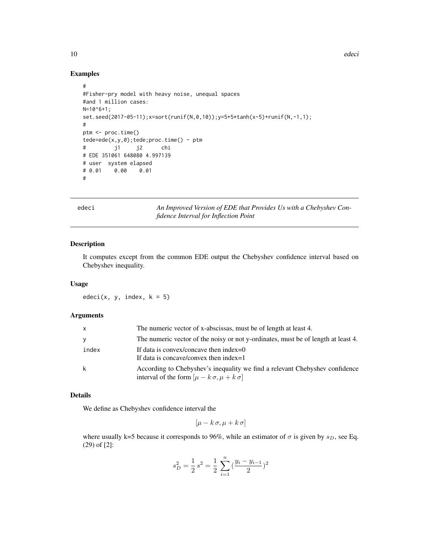<span id="page-9-0"></span>10 edeciments and the contract of the contract of the contract of the contract of the contract of the contract of the contract of the contract of the contract of the contract of the contract of the contract of the contract

#### Examples

```
#
#Fisher-pry model with heavy noise, unequal spaces
#and 1 million cases:
N=10^{6}+1;
set.seed(2017-05-11);x=sort(runif(N,0,10));y=5+5*tanh(x-5)+runif(N,-1,1);
#
ptm <- proc.time()
tede=ede(x,y,\emptyset);tede;proc.time() - ptm# j1 j2 chi
# EDE 351061 648080 4.997139
# user system elapsed
# 0.01 0.00 0.01
#
```
<span id="page-9-1"></span>edeci *An Improved Version of EDE that Provides Us with a Chebyshev Confidence Interval for Inflection Point*

## Description

It computes except from the common EDE output the Chebyshev confidence interval based on Chebyshev inequality.

#### Usage

 $edeci(x, y, index, k = 5)$ 

## Arguments

| <b>X</b> | The numeric vector of x-abscissas, must be of length at least 4.                                                                       |
|----------|----------------------------------------------------------------------------------------------------------------------------------------|
| ۷        | The numeric vector of the noisy or not y-ordinates, must be of length at least 4.                                                      |
| index    | If data is convex/concave then index= $0$<br>If data is concave/convex then index=1                                                    |
| k        | According to Chebyshev's inequality we find a relevant Chebyshev confidence<br>interval of the form $[\mu - k \sigma, \mu + k \sigma]$ |

## Details

We define as Chebyshev confidence interval the

$$
[\mu - k \sigma, \mu + k \sigma]
$$

where usually k=5 because it corresponds to 96%, while an estimator of  $\sigma$  is given by  $s_D$ , see Eq. (29) of [2]:

$$
s_D^2 = \frac{1}{2} s^2 = \frac{1}{2} \sum_{i=1}^n \left( \frac{y_i - y_{i-1}}{2} \right)^2
$$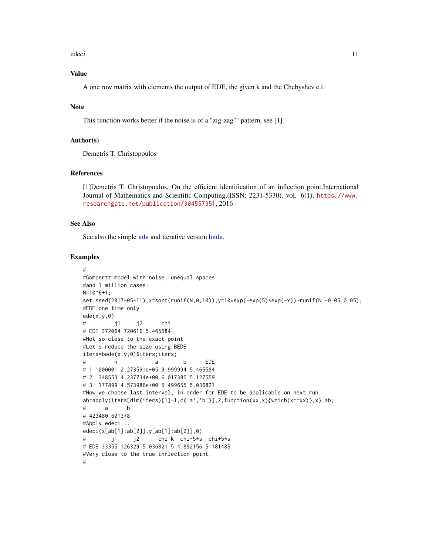<span id="page-10-0"></span>edeci ili alta este edeci altre a sulla sulla sulla sulla sulla sulla sulla sulla sulla sulla sulla sulla sull

## Value

A one row matrix with elements the output of EDE, the given k and the Chebyshev c.i.

## Note

This function works better if the noise is of a "zig-zag"" pattern, see [1].

#### Author(s)

Demetris T. Christopoulos

## References

[1]Demetris T. Christopoulos, On the efficient identification of an inflection point,International Journal of Mathematics and Scientific Computing,(ISSN: 2231-5330), vol. 6(1), [https://www.](https://www.researchgate.net/publication/304557351) [researchgate.net/publication/304557351](https://www.researchgate.net/publication/304557351), 2016

## See Also

See also the simple [ede](#page-7-1) and iterative version [bede](#page-4-1).

```
#
#Gompertz model with noise, unequal spaces
#and 1 million cases:
N=10^{6}+1;set.seed(2017-05-11);x=sort(runif(N,0,10));y=10*exp(-exp(5)*exp(-x))+runif(N,-0.05,0.05);
#EDE one time only
ede(x,y,0)
# j1 j2 chi
# EDE 372064 720616 5.465584
#Not so close to the exact point
#Let's reduce the size using BEDE
iters=bede(x,y,0)$iters;iters;
# n a b EDE
# 1 1000001 2.273591e-05 9.999994 5.465584
# 2 348553 4.237734e+00 6.017385 5.127559
# 3 177899 4.573986e+00 5.499655 5.036821
#Now we choose last interval, in order for EDE to be applicable on next run
ab=apply(iters[dim(iters)[1]-1,c('a','b')],2,function(xx,x){which(x==xx)},x);ab;
# a b
# 423480 601378
#Apply edeci...
edeci(x[ab[1]:ab[2]],y[ab[1]:ab[2]],0)
# j1 j2 chi k chi-5*s chi+5*s
# EDE 33355 126329 5.036821 5 4.892156 5.181485
#Very close to the true inflection point.
#
```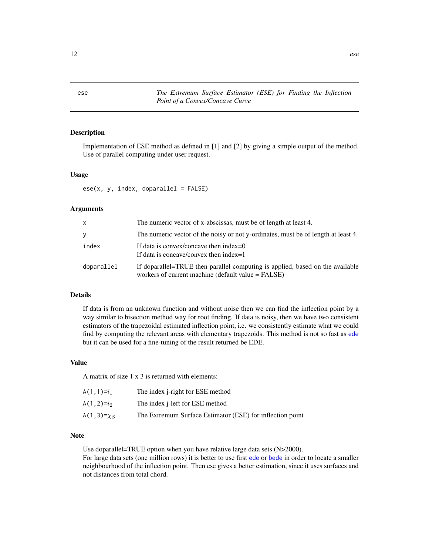<span id="page-11-1"></span><span id="page-11-0"></span>ese *The Extremum Surface Estimator (ESE) for Finding the Inflection Point of a Convex/Concave Curve*

## Description

Implementation of ESE method as defined in [1] and [2] by giving a simple output of the method. Use of parallel computing under user request.

#### Usage

 $e$ se(x, y, index, doparallel = FALSE)

#### Arguments

| X          | The numeric vector of x-abscissas, must be of length at least 4.                                                                    |
|------------|-------------------------------------------------------------------------------------------------------------------------------------|
| y          | The numeric vector of the noisy or not y-ordinates, must be of length at least 4.                                                   |
| index      | If data is convex/concave then index= $0$<br>If data is concave/convex then index=1                                                 |
| doparallel | If doparallel=TRUE then parallel computing is applied, based on the available<br>workers of current machine (default value = FALSE) |

## Details

If data is from an unknown function and without noise then we can find the inflection point by a way similar to bisection method way for root finding. If data is noisy, then we have two consistent estimators of the trapezoidal estimated inflection point, i.e. we consistently estimate what we could find by computing the relevant areas with elementary trapezoids. This method is not so fast as [ede](#page-7-1) but it can be used for a fine-tuning of the result returned be EDE.

## Value

A matrix of size 1 x 3 is returned with elements:

| A(1,1)= $i_1$      | The index <i>j</i> -right for ESE method                  |
|--------------------|-----------------------------------------------------------|
| A(1,2)= $i_2$      | The index <i>i</i> -left for ESE method                   |
| A(1,3)= $\chi_{S}$ | The Extremum Surface Estimator (ESE) for inflection point |

## Note

Use doparallel=TRUE option when you have relative large data sets (N>2000).

For large data sets (one million rows) it is better to use first [ede](#page-7-1) or [bede](#page-4-1) in order to locate a smaller neighbourhood of the inflection point. Then ese gives a better estimation, since it uses surfaces and not distances from total chord.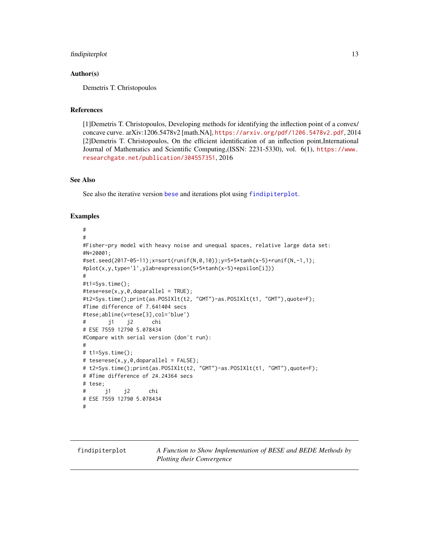## <span id="page-12-0"></span>findipiterplot that the contract of the contract of the contract of the contract of the contract of the contract of the contract of the contract of the contract of the contract of the contract of the contract of the contra

## Author(s)

Demetris T. Christopoulos

## References

[1]Demetris T. Christopoulos, Developing methods for identifying the inflection point of a convex/ concave curve. arXiv:1206.5478v2 [math.NA], <https://arxiv.org/pdf/1206.5478v2.pdf>, 2014 [2]Demetris T. Christopoulos, On the efficient identification of an inflection point,International Journal of Mathematics and Scientific Computing,(ISSN: 2231-5330), vol. 6(1), [https://www.](https://www.researchgate.net/publication/304557351) [researchgate.net/publication/304557351](https://www.researchgate.net/publication/304557351), 2016

## See Also

See also the iterative version [bese](#page-6-1) and iterations plot using [findipiterplot](#page-12-1).

```
#
#
#Fisher-pry model with heavy noise and unequal spaces, relative large data set:
#N=20001;
#set.seed(2017-05-11);x=sort(runif(N,0,10));y=5+5*tanh(x-5)+runif(N,-1,1);
#plot(x,y,type='l',ylab=expression(5+5*tanh(x-5)+epsilon[i]))
#
#t1=Sys.time();
#tese=ese(x,y,0, doparallel = TRUE);#t2=Sys.time();print(as.POSIXlt(t2, "GMT")-as.POSIXlt(t1, "GMT"),quote=F);
#Time difference of 7.641404 secs
#tese;abline(v=tese[3],col='blue')
# j1 j2 chi
# ESE 7559 12790 5.078434
#Compare with serial version (don't run):
#
# t1=Sys.time();
# tese=ese(x,y,0, doparallel = FALSE);# t2=Sys.time();print(as.POSIXlt(t2, "GMT")-as.POSIXlt(t1, "GMT"),quote=F);
# #Time difference of 24.24364 secs
# tese;
# j1 j2 chi
# ESE 7559 12790 5.078434
#
```
<span id="page-12-1"></span>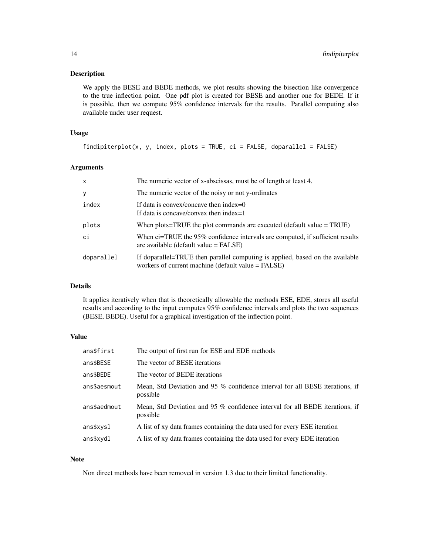## Description

We apply the BESE and BEDE methods, we plot results showing the bisection like convergence to the true inflection point. One pdf plot is created for BESE and another one for BEDE. If it is possible, then we compute 95% confidence intervals for the results. Parallel computing also available under user request.

## Usage

```
findipiterplot(x, y, index, plots = TRUE, ci = FALSE, doparallel = FALSE)
```
#### Arguments

| $\mathsf{x}$ | The numeric vector of x-abscissas, must be of length at least 4.                                                                    |
|--------------|-------------------------------------------------------------------------------------------------------------------------------------|
| У            | The numeric vector of the noisy or not y-ordinates                                                                                  |
| index        | If data is convex/concave then index=0<br>If data is concave/convex then index=1                                                    |
| plots        | When plots=TRUE the plot commands are executed (default value $=$ TRUE)                                                             |
| ci           | When ci=TRUE the 95% confidence intervals are computed, if sufficient results<br>are available (default value $=$ FALSE)            |
| doparallel   | If doparallel=TRUE then parallel computing is applied, based on the available<br>workers of current machine (default value = FALSE) |

## Details

It applies iteratively when that is theoretically allowable the methods ESE, EDE, stores all useful results and according to the input computes 95% confidence intervals and plots the two sequences (BESE, BEDE). Useful for a graphical investigation of the inflection point.

## Value

| ans\$first   | The output of first run for ESE and EDE methods                                          |
|--------------|------------------------------------------------------------------------------------------|
| ans\$BESE    | The vector of BESE iterations                                                            |
| ans\$BEDE    | The vector of BEDE iterations                                                            |
| ans\$aesmout | Mean, Std Deviation and 95 % confidence interval for all BESE iterations, if<br>possible |
| ans\$aedmout | Mean, Std Deviation and 95 % confidence interval for all BEDE iterations, if<br>possible |
| ans\$xysl    | A list of xy data frames containing the data used for every ESE iteration                |
| ans\$xydl    | A list of xy data frames containing the data used for every EDE iteration                |

## Note

Non direct methods have been removed in version 1.3 due to their limited functionality.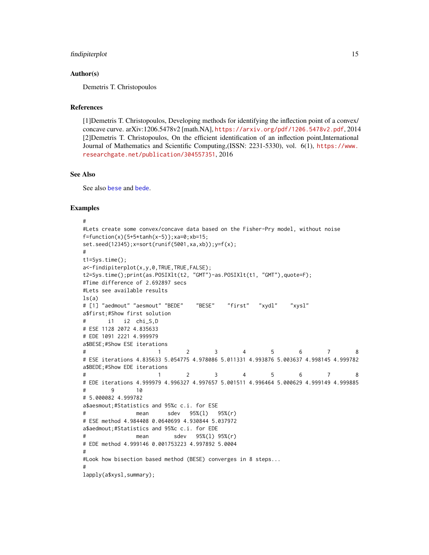#### <span id="page-14-0"></span>findipiterplot 15

## Author(s)

Demetris T. Christopoulos

#### References

[1]Demetris T. Christopoulos, Developing methods for identifying the inflection point of a convex/ concave curve. arXiv:1206.5478v2 [math.NA], <https://arxiv.org/pdf/1206.5478v2.pdf>, 2014 [2]Demetris T. Christopoulos, On the efficient identification of an inflection point,International Journal of Mathematics and Scientific Computing,(ISSN: 2231-5330), vol. 6(1), [https://www.](https://www.researchgate.net/publication/304557351) [researchgate.net/publication/304557351](https://www.researchgate.net/publication/304557351), 2016

#### See Also

See also [bese](#page-6-1) and [bede](#page-4-1).

```
#
#Lets create some convex/concave data based on the Fisher-Pry model, without noise
f = function(x){5+5*tanh(x-5)}; xa=0; xb=15;set.seed(12345);x=sort(runif(5001,xa,xb));y=f(x);
#
t1=Sys.time();
a<-findipiterplot(x,y,0,TRUE,TRUE,FALSE);
t2=Sys.time();print(as.POSIXlt(t2, "GMT")-as.POSIXlt(t1, "GMT"),quote=F);
#Time difference of 2.692897 secs
#Lets see available results
ls(a)# [1] "aedmout" "aesmout" "BEDE" "BESE" "first" "xydl" "xysl"
a$first;#Show first solution
      i1 i2 chi_S,D
# ESE 1128 2072 4.835633
# EDE 1091 2221 4.999979
a$BESE;#Show ESE iterations
# 1 2 3 4 5 6 7 8
# ESE iterations 4.835633 5.054775 4.978086 5.011331 4.993876 5.003637 4.998145 4.999782
a$BEDE;#Show EDE iterations
# 1 2 3 4 5 6 7 8
# EDE iterations 4.999979 4.996327 4.997657 5.001511 4.996464 5.000629 4.999149 4.999885
# 9 10
# 5.000082 4.999782
a$aesmout;#Statistics and 95%c c.i. for ESE
# mean sdev 95%(l) 95%(r)
# ESE method 4.984408 0.0640699 4.930844 5.037972
a$aedmout;#Statistics and 95%c c.i. for EDE
# mean sdev 95%(l) 95%(r)
# EDE method 4.999146 0.001753223 4.997892 5.0004
#
#Look how bisection based method (BESE) converges in 8 steps...
#
lapply(a$xysl,summary);
```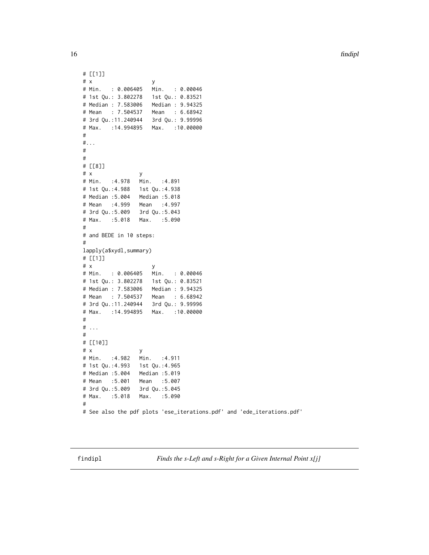<span id="page-15-0"></span>16 findipl

```
# [[1]]
# x y
# Min. : 0.006405 Min. : 0.00046
# 1st Qu.: 3.802278 1st Qu.: 0.83521
# Median : 7.583006 Median : 9.94325
# Mean : 7.504537
# 3rd Qu.:11.240944 3rd Qu.: 9.99996
# Max. :14.994895 Max. :10.00000
#
#...
#
#
# [[8]]
# x y
# Min. :4.978 Min. :4.891
# 1st Qu.:4.988 1st Qu.:4.938
# Median :5.004 Median :5.018
# Mean :4.999 Mean :4.997
# 3rd Qu.:5.009 3rd Qu.:5.043
# Max. :5.018 Max. :5.090
#
# and BEDE in 10 steps:
#
lapply(a$xydl,summary)
# [[1]]
# x y
# Min. : 0.006405 Min. : 0.00046
# 1st Qu.: 3.802278 1st Qu.: 0.83521
# Median : 7.583006
# Mean : 7.504537 Mean : 6.68942
# 3rd Qu.:11.240944 3rd Qu.: 9.99996
# Max. :14.994895 Max. :10.00000
#
# . . .
#
# [[10]]
# x y
# Min. :4.982 Min. :4.911
# 1st Qu.:4.993 1st Qu.:4.965
# Median :5.004 Median :5.019
# Mean :5.001 Mean :5.007
# 3rd Qu.:5.009 3rd Qu.:5.045
# Max. :5.018 Max. :5.090
#
# See also the pdf plots 'ese_iterations.pdf' and 'ede_iterations.pdf'
```
findipl *Finds the s-Left and s-Right for a Given Internal Point x[j]*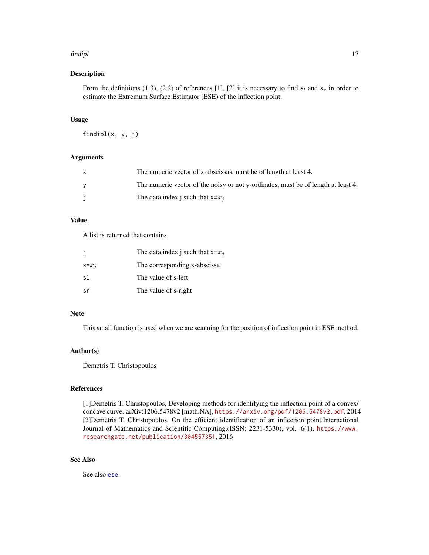#### <span id="page-16-0"></span>findipl 17

## Description

From the definitions (1.3), (2.2) of references [1], [2] it is necessary to find  $s_l$  and  $s_r$  in order to estimate the Extremum Surface Estimator (ESE) of the inflection point.

#### Usage

findipl(x, y, j)

## Arguments

| The numeric vector of x-abscissas, must be of length at least 4.                  |
|-----------------------------------------------------------------------------------|
| The numeric vector of the noisy or not y-ordinates, must be of length at least 4. |
| The data index j such that $x=x_i$                                                |

## Value

A list is returned that contains

|           | The data index j such that $x=x_i$ |
|-----------|------------------------------------|
| $x = x_i$ | The corresponding x-abscissa       |
| sl        | The value of s-left                |
| .sr       | The value of s-right               |

## Note

This small function is used when we are scanning for the position of inflection point in ESE method.

## Author(s)

Demetris T. Christopoulos

## References

[1]Demetris T. Christopoulos, Developing methods for identifying the inflection point of a convex/ concave curve. arXiv:1206.5478v2 [math.NA], <https://arxiv.org/pdf/1206.5478v2.pdf>, 2014 [2]Demetris T. Christopoulos, On the efficient identification of an inflection point,International Journal of Mathematics and Scientific Computing,(ISSN: 2231-5330), vol. 6(1), [https://www.](https://www.researchgate.net/publication/304557351) [researchgate.net/publication/304557351](https://www.researchgate.net/publication/304557351), 2016

## See Also

See also [ese](#page-11-1).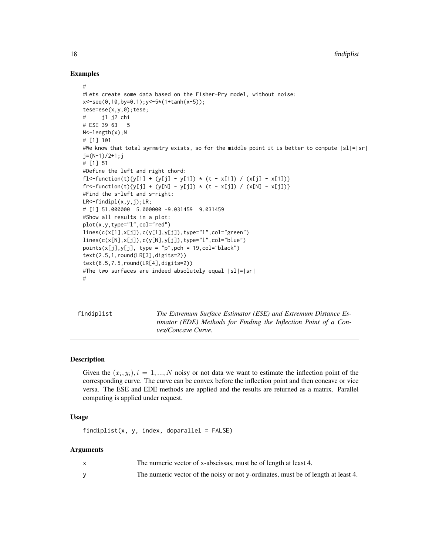## Examples

```
#
#Lets create some data based on the Fisher-Pry model, without noise:
x<-seq(0,10,by=0.1);y<-5*(1+tanh(x-5));
tese=ese(x,y,0);tese;
# j1 j2 chi
# ESE 39 63 5
N<-length(x);N
# [1] 101
#We know that total symmetry exists, so for the middle point it is better to compute |sl|=|sr|
j=(N-1)/2+1; j# [1] 51
#Define the left and right chord:
fl<-function(t){y[1] + (y[j] - y[1]) * (t - x[1]) / (x[j] - x[1])}
fr<-function(t){y[j] + (y[N] - y[j]) * (t - x[j]) / (x[N] - x[j])}
#Find the s-left and s-right:
LR<-findipl(x,y,j);LR;
# [1] 51.000000 5.000000 -9.031459 9.031459
#Show all results in a plot:
plot(x,y,type="l",col="red")
lines(c(x[1],x[j]),c(y[1],y[j]),type="l",col="green")
lines(c(x[N],x[j]),c(y[N],y[j]),type="l",col="blue")
points(x[j],y[j], type = "p",pch = 19, col="black")text(2.5,1,round(LR[3],digits=2))
text(6.5,7.5,round(LR[4],digits=2))
#The two surfaces are indeed absolutely equal |sl|=|sr|#
```
<span id="page-17-1"></span>findiplist *The Extremum Surface Estimator (ESE) and Extremum Distance Estimator (EDE) Methods for Finding the Inflection Point of a Convex/Concave Curve.*

## **Description**

Given the  $(x_i, y_i)$ ,  $i = 1, ..., N$  noisy or not data we want to estimate the inflection point of the corresponding curve. The curve can be convex before the inflection point and then concave or vice versa. The ESE and EDE methods are applied and the results are returned as a matrix. Parallel computing is applied under request.

## Usage

 $findiplist(x, y, index, doparallel = FALSE)$ 

#### Arguments

| The numeric vector of x-abscissas, must be of length at least 4.                  |
|-----------------------------------------------------------------------------------|
| The numeric vector of the noisy or not y-ordinates, must be of length at least 4. |

<span id="page-17-0"></span>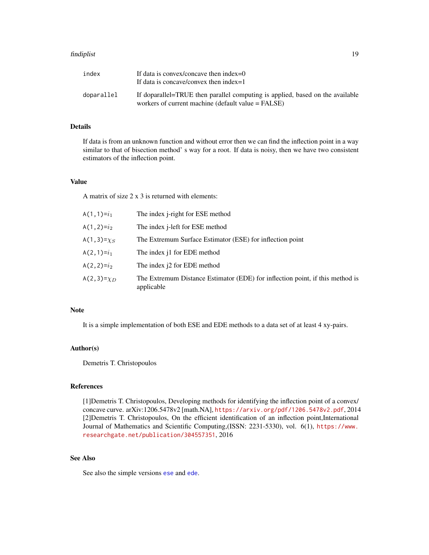#### <span id="page-18-0"></span>findiplist 19

| index      | If data is convex/concave then index= $0$<br>If data is concave/convex then index=1                                                 |
|------------|-------------------------------------------------------------------------------------------------------------------------------------|
| doparallel | If doparallel=TRUE then parallel computing is applied, based on the available<br>workers of current machine (default value = FALSE) |

## Details

If data is from an unknown function and without error then we can find the inflection point in a way similar to that of bisection method' s way for a root. If data is noisy, then we have two consistent estimators of the inflection point.

## Value

A matrix of size 2 x 3 is returned with elements:

| A(1,1)= $i_1$    | The index j-right for ESE method                                                            |
|------------------|---------------------------------------------------------------------------------------------|
| A(1,2)= $i_2$    | The index <i>j</i> -left for ESE method                                                     |
| A(1,3)= $\chi_S$ | The Extremum Surface Estimator (ESE) for inflection point                                   |
| $A(2,1)=i_1$     | The index i1 for EDE method                                                                 |
| A(2,2)= $i2$     | The index i2 for EDE method                                                                 |
| A(2,3)= $\chi_D$ | The Extremum Distance Estimator (EDE) for inflection point, if this method is<br>applicable |

#### Note

It is a simple implementation of both ESE and EDE methods to a data set of at least 4 xy-pairs.

## Author(s)

Demetris T. Christopoulos

#### References

[1]Demetris T. Christopoulos, Developing methods for identifying the inflection point of a convex/ concave curve. arXiv:1206.5478v2 [math.NA], <https://arxiv.org/pdf/1206.5478v2.pdf>, 2014 [2]Demetris T. Christopoulos, On the efficient identification of an inflection point,International Journal of Mathematics and Scientific Computing,(ISSN: 2231-5330), vol. 6(1), [https://www.](https://www.researchgate.net/publication/304557351) [researchgate.net/publication/304557351](https://www.researchgate.net/publication/304557351), 2016

## See Also

See also the simple versions [ese](#page-11-1) and [ede](#page-7-1).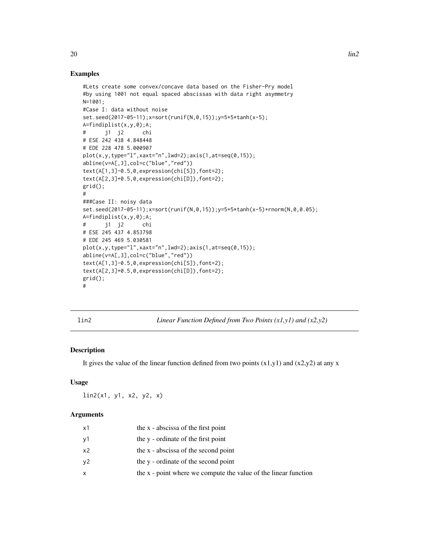#### Examples

```
#Lets create some convex/concave data based on the Fisher-Pry model
#by using 1001 not equal spaced abscissas with data right asymmetry
N=1001;
#Case I: data without noise
set.seed(2017-05-11);x=sort(runif(N,0,15));y=5+5*tanh(x-5);
A=findiplist(x,y,0);A;
# j1 j2 chi
# ESE 242 438 4.848448
# EDE 228 478 5.000907
plot(x,y,type="l",xaxt="n",lwd=2);axis(1,at=seq(0,15));
abline(v=A[,3],col=c("blue","red"))
text(A[1,3]-0.5,0,expression(chi[S]),font=2);
text(A[2,3]+0.5,0,expression(chi[D]),font=2);
grid();
#
###Case II: noisy data
set.seed(2017-05-11);x=sort(runif(N,0,15));y=5+5*tanh(x-5)+rnorm(N,0,0.05);
A=findiplist(x,y,0);A;
# j1 j2 chi
# ESE 245 437 4.853798
# EDE 245 469 5.030581
plot(x,y,type="l",xaxt="n",lwd=2);axis(1,at=seq(0,15));
abline(v=A[,3],col=c("blue","red"))
text(A[1,3]-0.5,0,expression(chi[S]),font=2);
text(A[2,3]+0.5,0,expression(chi[D]),font=2);
grid();
#
```
lin2 *Linear Function Defined from Two Points (x1,y1) and (x2,y2)*

## Description

It gives the value of the linear function defined from two points  $(x1,y1)$  and  $(x2,y2)$  at any x

#### Usage

lin2(x1, y1, x2, y2, x)

#### Arguments

| х1 | the x - abscissa of the first point                             |
|----|-----------------------------------------------------------------|
| у1 | the y - ordinate of the first point                             |
| x2 | the x - abscissa of the second point                            |
| ν2 | the y - ordinate of the second point                            |
| x  | the x - point where we compute the value of the linear function |
|    |                                                                 |

<span id="page-19-0"></span>20  $\ln 2$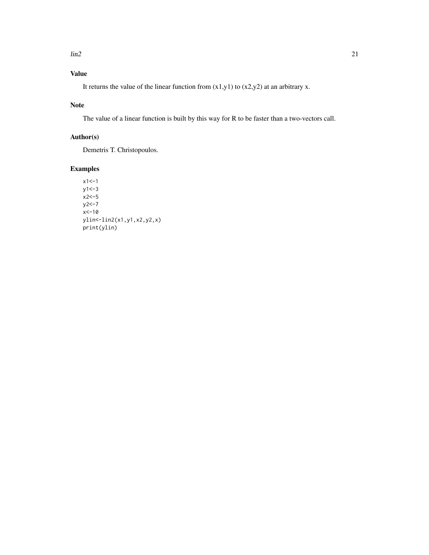## Value

It returns the value of the linear function from  $(x1,y1)$  to  $(x2,y2)$  at an arbitrary x.

## Note

The value of a linear function is built by this way for R to be faster than a two-vectors call.

## Author(s)

Demetris T. Christopoulos.

## Examples

 $x1 < -1$  $y1 < -3$ x2<-5  $y2 < -7$  $x < -10$ ylin<-lin2(x1,y1,x2,y2,x) print(ylin)